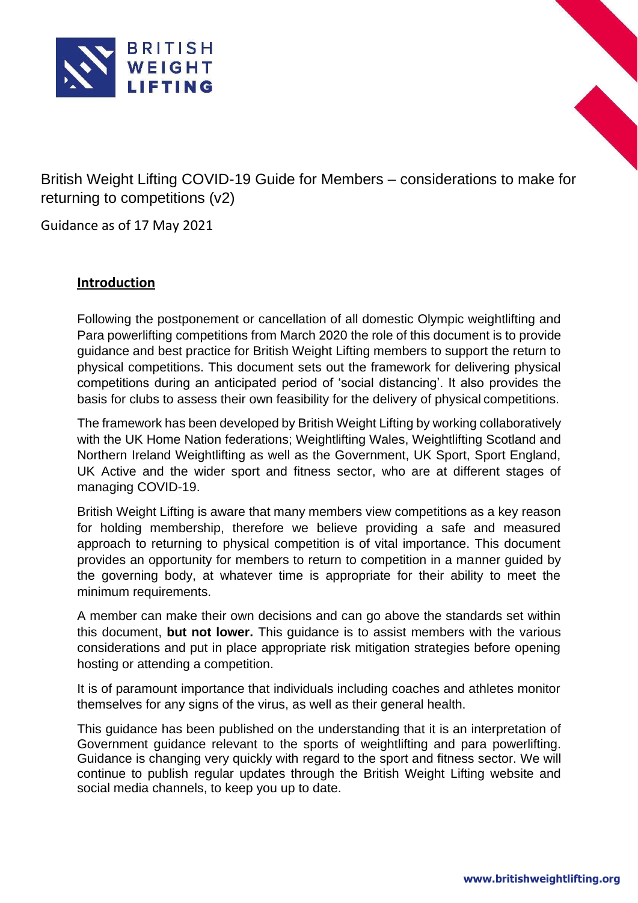



British Weight Lifting COVID-19 Guide for Members – considerations to make for returning to competitions (v2)

Guidance as of 17 May 2021

# **Introduction**

Following the postponement or cancellation of all domestic Olympic weightlifting and Para powerlifting competitions from March 2020 the role of this document is to provide guidance and best practice for British Weight Lifting members to support the return to physical competitions. This document sets out the framework for delivering physical competitions during an anticipated period of 'social distancing'. It also provides the basis for clubs to assess their own feasibility for the delivery of physical competitions.

The framework has been developed by British Weight Lifting by working collaboratively with the UK Home Nation federations; Weightlifting Wales, Weightlifting Scotland and Northern Ireland Weightlifting as well as the Government, UK Sport, Sport England, UK Active and the wider sport and fitness sector, who are at different stages of managing COVID-19.

British Weight Lifting is aware that many members view competitions as a key reason for holding membership, therefore we believe providing a safe and measured approach to returning to physical competition is of vital importance. This document provides an opportunity for members to return to competition in a manner guided by the governing body, at whatever time is appropriate for their ability to meet the minimum requirements.

A member can make their own decisions and can go above the standards set within this document, **but not lower.** This guidance is to assist members with the various considerations and put in place appropriate risk mitigation strategies before opening hosting or attending a competition.

It is of paramount importance that individuals including coaches and athletes monitor themselves for any signs of the virus, as well as their general health.

This guidance has been published on the understanding that it is an interpretation of Government guidance relevant to the sports of weightlifting and para powerlifting. Guidance is changing very quickly with regard to the sport and fitness sector. We will continue to publish regular updates through the British Weight Lifting website and social media channels, to keep you up to date.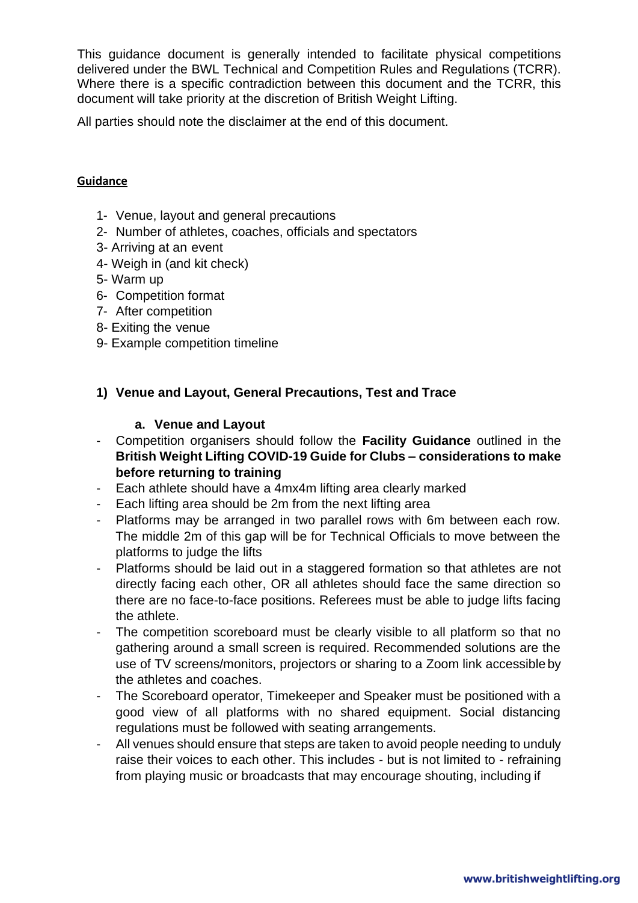This guidance document is generally intended to facilitate physical competitions delivered under the BWL Technical and Competition Rules and Regulations (TCRR). Where there is a specific contradiction between this document and the TCRR, this document will take priority at the discretion of British Weight Lifting.

All parties should note the disclaimer at the end of this document.

#### **Guidance**

- 1- Venue, layout and general precautions
- 2- Number of athletes, coaches, officials and spectators
- 3- Arriving at an event
- 4- Weigh in (and kit check)
- 5- Warm up
- 6- Competition format
- 7- After competition
- 8- Exiting the venue
- 9- Example competition timeline

#### **1) Venue and Layout, General Precautions, Test and Trace**

#### **a. Venue and Layout**

- Competition organisers should follow the **Facility Guidance** outlined in the **British Weight Lifting COVID-19 Guide for Clubs – considerations to make before returning to training**
- Each athlete should have a 4mx4m lifting area clearly marked
- Each lifting area should be 2m from the next lifting area
- Platforms may be arranged in two parallel rows with 6m between each row. The middle 2m of this gap will be for Technical Officials to move between the platforms to judge the lifts
- Platforms should be laid out in a staggered formation so that athletes are not directly facing each other, OR all athletes should face the same direction so there are no face-to-face positions. Referees must be able to judge lifts facing the athlete.
- The competition scoreboard must be clearly visible to all platform so that no gathering around a small screen is required. Recommended solutions are the use of TV screens/monitors, projectors or sharing to a Zoom link accessible by the athletes and coaches.
- The Scoreboard operator, Timekeeper and Speaker must be positioned with a good view of all platforms with no shared equipment. Social distancing regulations must be followed with seating arrangements.
- All venues should ensure that steps are taken to avoid people needing to unduly raise their voices to each other. This includes - but is not limited to - refraining from playing music or broadcasts that may encourage shouting, including if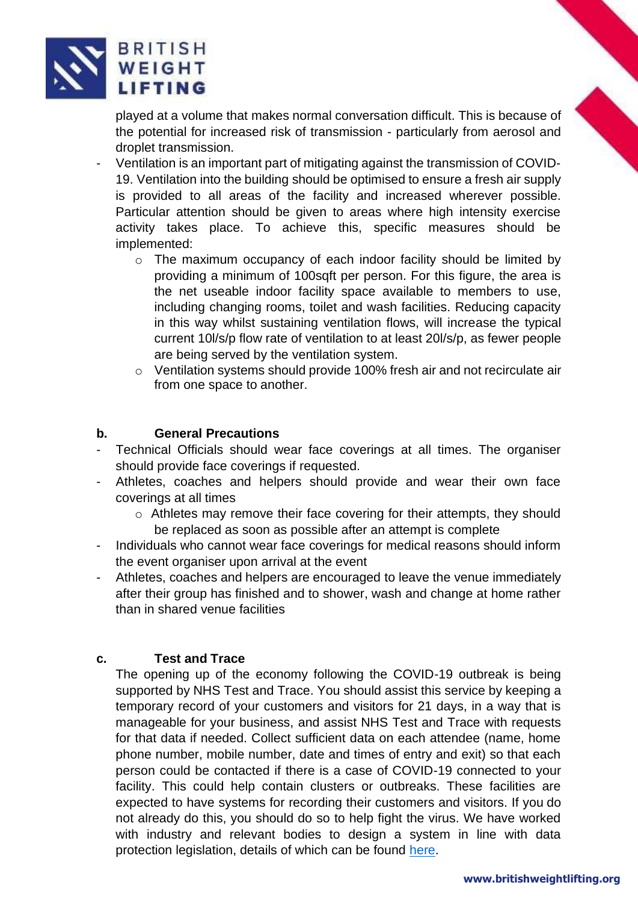

played at a volume that makes normal conversation difficult. This is because of the potential for increased risk of transmission - particularly from aerosol and droplet transmission.

- Ventilation is an important part of mitigating against the transmission of COVID-19. Ventilation into the building should be optimised to ensure a fresh air supply is provided to all areas of the facility and increased wherever possible. Particular attention should be given to areas where high intensity exercise activity takes place. To achieve this, specific measures should be implemented:
	- o The maximum occupancy of each indoor facility should be limited by providing a minimum of 100sqft per person. For this figure, the area is the net useable indoor facility space available to members to use, including changing rooms, toilet and wash facilities. Reducing capacity in this way whilst sustaining ventilation flows, will increase the typical current 10l/s/p flow rate of ventilation to at least 20l/s/p, as fewer people are being served by the ventilation system.
	- o Ventilation systems should provide 100% fresh air and not recirculate air from one space to another.

## **b. General Precautions**

- Technical Officials should wear face coverings at all times. The organiser should provide face coverings if requested.
- Athletes, coaches and helpers should provide and wear their own face coverings at all times
	- o Athletes may remove their face covering for their attempts, they should be replaced as soon as possible after an attempt is complete
- Individuals who cannot wear face coverings for medical reasons should inform the event organiser upon arrival at the event
- Athletes, coaches and helpers are encouraged to leave the venue immediately after their group has finished and to shower, wash and change at home rather than in shared venue facilities

# **c. Test and Trace**

The opening up of the economy following the COVID-19 outbreak is being supported by NHS Test and Trace. You should assist this service by keeping a temporary record of your customers and visitors for 21 days, in a way that is manageable for your business, and assist NHS Test and Trace with requests for that data if needed. Collect sufficient data on each attendee (name, home phone number, mobile number, date and times of entry and exit) so that each person could be contacted if there is a case of COVID-19 connected to your facility. This could help contain clusters or outbreaks. These facilities are expected to have systems for recording their customers and visitors. If you do not already do this, you should do so to help fight the virus. We have worked with industry and relevant bodies to design a system in line with data protection legislation, details of which can be found [here.](https://www.gov.uk/guidance/maintaining-records-of-staff-customers-and-visitors-to-support-nhs-test-and-trace)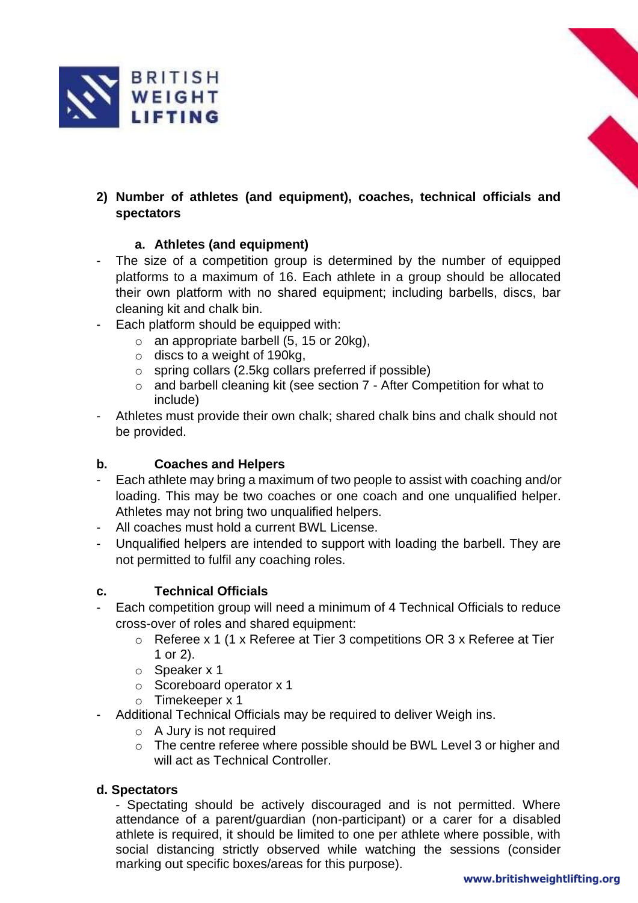

# **2) Number of athletes (and equipment), coaches, technical officials and spectators**

## **a. Athletes (and equipment)**

- The size of a competition group is determined by the number of equipped platforms to a maximum of 16. Each athlete in a group should be allocated their own platform with no shared equipment; including barbells, discs, bar cleaning kit and chalk bin.
- Each platform should be equipped with:
	- $\circ$  an appropriate barbell (5, 15 or 20kg),
	- o discs to a weight of 190kg,
	- o spring collars (2.5kg collars preferred if possible)
	- o and barbell cleaning kit (see section 7 After Competition for what to include)
- Athletes must provide their own chalk; shared chalk bins and chalk should not be provided.

#### **b. Coaches and Helpers**

- Each athlete may bring a maximum of two people to assist with coaching and/or loading. This may be two coaches or one coach and one unqualified helper. Athletes may not bring two unqualified helpers.
- All coaches must hold a current BWL License.
- Unqualified helpers are intended to support with loading the barbell. They are not permitted to fulfil any coaching roles.

#### **c. Technical Officials**

- Each competition group will need a minimum of 4 Technical Officials to reduce cross-over of roles and shared equipment:
	- o Referee x 1 (1 x Referee at Tier 3 competitions OR 3 x Referee at Tier 1 or 2).
	- o Speaker x 1
	- o Scoreboard operator x 1
	- o Timekeeper x 1
- Additional Technical Officials may be required to deliver Weigh ins.
	- o A Jury is not required
	- o The centre referee where possible should be BWL Level 3 or higher and will act as Technical Controller.

#### **d. Spectators**

- Spectating should be actively discouraged and is not permitted. Where attendance of a parent/guardian (non-participant) or a carer for a disabled athlete is required, it should be limited to one per athlete where possible, with social distancing strictly observed while watching the sessions (consider marking out specific boxes/areas for this purpose).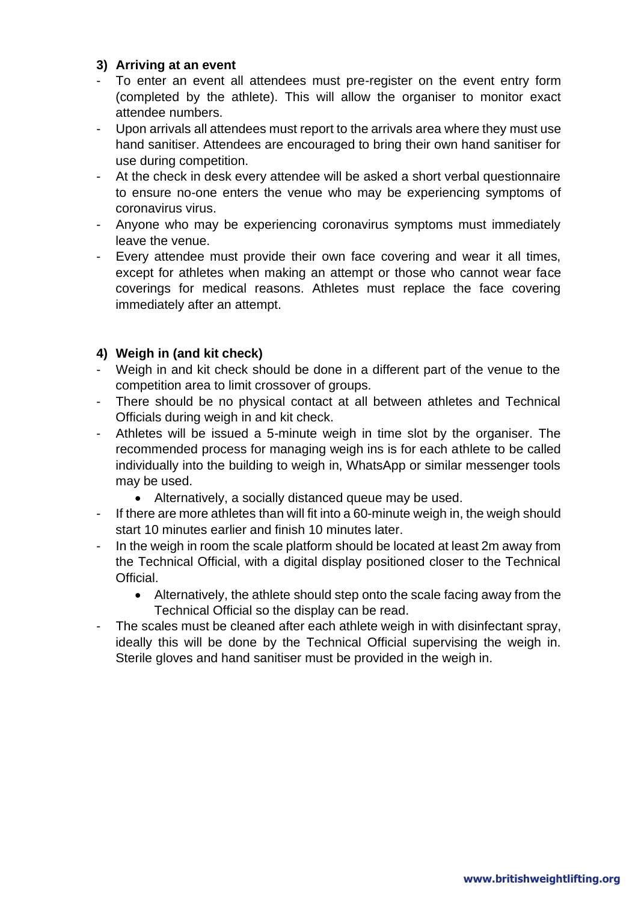#### **3) Arriving at an event**

- To enter an event all attendees must pre-register on the event entry form (completed by the athlete). This will allow the organiser to monitor exact attendee numbers.
- Upon arrivals all attendees must report to the arrivals area where they must use hand sanitiser. Attendees are encouraged to bring their own hand sanitiser for use during competition.
- At the check in desk every attendee will be asked a short verbal questionnaire to ensure no-one enters the venue who may be experiencing symptoms of coronavirus virus.
- Anyone who may be experiencing coronavirus symptoms must immediately leave the venue.
- Every attendee must provide their own face covering and wear it all times, except for athletes when making an attempt or those who cannot wear face coverings for medical reasons. Athletes must replace the face covering immediately after an attempt.

## **4) Weigh in (and kit check)**

- Weigh in and kit check should be done in a different part of the venue to the competition area to limit crossover of groups.
- There should be no physical contact at all between athletes and Technical Officials during weigh in and kit check.
- Athletes will be issued a 5-minute weigh in time slot by the organiser. The recommended process for managing weigh ins is for each athlete to be called individually into the building to weigh in, WhatsApp or similar messenger tools may be used.
	- Alternatively, a socially distanced queue may be used.
- If there are more athletes than will fit into a 60-minute weigh in, the weigh should start 10 minutes earlier and finish 10 minutes later.
- In the weigh in room the scale platform should be located at least 2m away from the Technical Official, with a digital display positioned closer to the Technical Official.
	- Alternatively, the athlete should step onto the scale facing away from the Technical Official so the display can be read.
- The scales must be cleaned after each athlete weigh in with disinfectant spray, ideally this will be done by the Technical Official supervising the weigh in. Sterile gloves and hand sanitiser must be provided in the weigh in.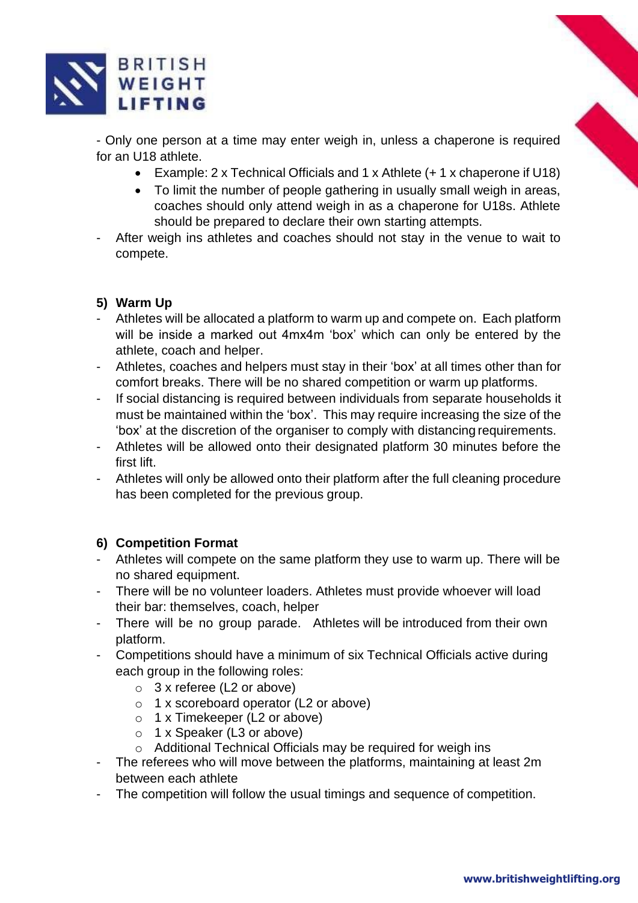

- Only one person at a time may enter weigh in, unless a chaperone is required for an U18 athlete.

- Example: 2 x Technical Officials and 1 x Athlete (+ 1 x chaperone if U18)
- To limit the number of people gathering in usually small weigh in areas, coaches should only attend weigh in as a chaperone for U18s. Athlete should be prepared to declare their own starting attempts.
- After weigh ins athletes and coaches should not stay in the venue to wait to compete.

# **5) Warm Up**

- Athletes will be allocated a platform to warm up and compete on. Each platform will be inside a marked out 4mx4m 'box' which can only be entered by the athlete, coach and helper.
- Athletes, coaches and helpers must stay in their 'box' at all times other than for comfort breaks. There will be no shared competition or warm up platforms.
- If social distancing is required between individuals from separate households it must be maintained within the 'box'. This may require increasing the size of the 'box' at the discretion of the organiser to comply with distancing requirements.
- Athletes will be allowed onto their designated platform 30 minutes before the first lift.
- Athletes will only be allowed onto their platform after the full cleaning procedure has been completed for the previous group.

#### **6) Competition Format**

- Athletes will compete on the same platform they use to warm up. There will be no shared equipment.
- There will be no volunteer loaders. Athletes must provide whoever will load their bar: themselves, coach, helper
- There will be no group parade. Athletes will be introduced from their own platform.
- Competitions should have a minimum of six Technical Officials active during each group in the following roles:
	- o 3 x referee (L2 or above)
	- o 1 x scoreboard operator (L2 or above)
	- o 1 x Timekeeper (L2 or above)
	- o 1 x Speaker (L3 or above)
	- o Additional Technical Officials may be required for weigh ins
- The referees who will move between the platforms, maintaining at least 2m between each athlete
- The competition will follow the usual timings and sequence of competition.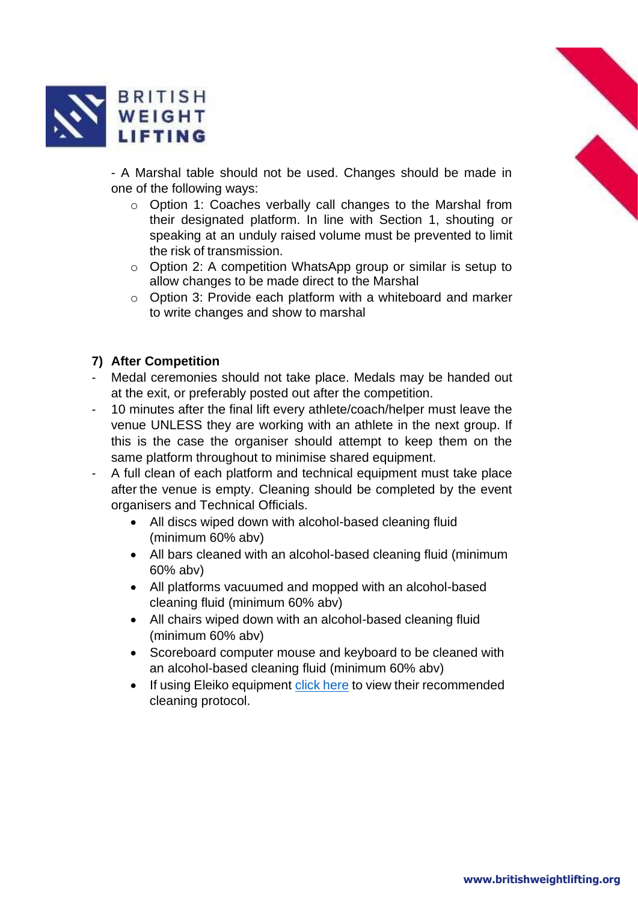

- A Marshal table should not be used. Changes should be made in one of the following ways:

- o Option 1: Coaches verbally call changes to the Marshal from their designated platform. In line with Section 1, shouting or speaking at an unduly raised volume must be prevented to limit the risk of transmission.
- o Option 2: A competition WhatsApp group or similar is setup to allow changes to be made direct to the Marshal
- o Option 3: Provide each platform with a whiteboard and marker to write changes and show to marshal

## **7) After Competition**

- Medal ceremonies should not take place. Medals may be handed out at the exit, or preferably posted out after the competition.
- 10 minutes after the final lift every athlete/coach/helper must leave the venue UNLESS they are working with an athlete in the next group. If this is the case the organiser should attempt to keep them on the same platform throughout to minimise shared equipment.
- A full clean of each platform and technical equipment must take place after the venue is empty. Cleaning should be completed by the event organisers and Technical Officials.
	- All discs wiped down with alcohol-based cleaning fluid (minimum 60% abv)
	- All bars cleaned with an alcohol-based cleaning fluid (minimum 60% abv)
	- All platforms vacuumed and mopped with an alcohol-based cleaning fluid (minimum 60% abv)
	- All chairs wiped down with an alcohol-based cleaning fluid (minimum 60% abv)
	- Scoreboard computer mouse and keyboard to be cleaned with an alcohol-based cleaning fluid (minimum 60% abv)
	- If using Eleiko equipment click [here](https://www.eleiko.com/files/eleiko-cleaning-guidelines.pdf) to view their recommended cleaning protocol.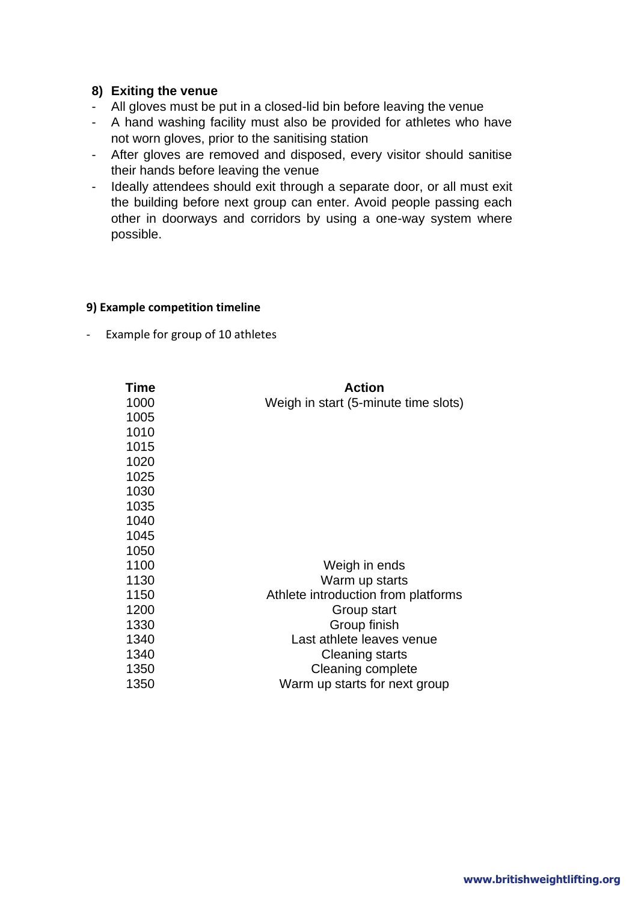#### **8) Exiting the venue**

- All gloves must be put in a closed-lid bin before leaving the venue
- A hand washing facility must also be provided for athletes who have not worn gloves, prior to the sanitising station
- After gloves are removed and disposed, every visitor should sanitise their hands before leaving the venue
- Ideally attendees should exit through a separate door, or all must exit the building before next group can enter. Avoid people passing each other in doorways and corridors by using a one-way system where possible.

#### **9) Example competition timeline**

- Example for group of 10 athletes

| <b>Time</b> | Action                               |
|-------------|--------------------------------------|
| 1000        | Weigh in start (5-minute time slots) |
| 1005        |                                      |
| 1010        |                                      |
| 1015        |                                      |
| 1020        |                                      |
| 1025        |                                      |
| 1030        |                                      |
| 1035        |                                      |
| 1040        |                                      |
| 1045        |                                      |
| 1050        |                                      |
| 1100        | Weigh in ends                        |
| 1130        | Warm up starts                       |
| 1150        | Athlete introduction from platforms  |
| 1200        | Group start                          |
| 1330        | Group finish                         |
| 1340        | Last athlete leaves venue            |
| 1340        | <b>Cleaning starts</b>               |
| 1350        | Cleaning complete                    |
| 1350        | Warm up starts for next group        |